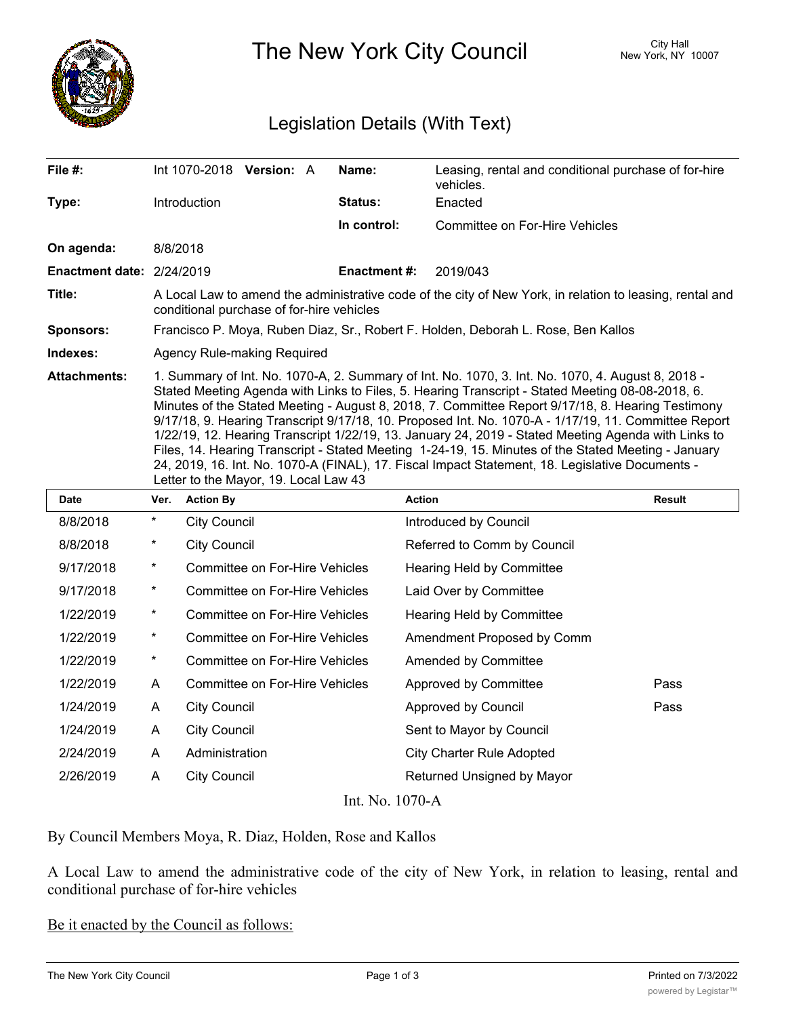

The New York City Council New York, NY 10007

## Legislation Details (With Text)

| File $#$ :                  | Int $1070-2018$ Version: A                                                                                                                                                                                                                                                                                                                                                                                                                                                                                                                                                                                                                                                                                                                                                   | Name:               | Leasing, rental and conditional purchase of for-hire<br>vehicles. |  |  |
|-----------------------------|------------------------------------------------------------------------------------------------------------------------------------------------------------------------------------------------------------------------------------------------------------------------------------------------------------------------------------------------------------------------------------------------------------------------------------------------------------------------------------------------------------------------------------------------------------------------------------------------------------------------------------------------------------------------------------------------------------------------------------------------------------------------------|---------------------|-------------------------------------------------------------------|--|--|
| Type:                       | <b>Introduction</b>                                                                                                                                                                                                                                                                                                                                                                                                                                                                                                                                                                                                                                                                                                                                                          | Status:             | Enacted                                                           |  |  |
|                             |                                                                                                                                                                                                                                                                                                                                                                                                                                                                                                                                                                                                                                                                                                                                                                              | In control:         | Committee on For-Hire Vehicles                                    |  |  |
| On agenda:                  | 8/8/2018                                                                                                                                                                                                                                                                                                                                                                                                                                                                                                                                                                                                                                                                                                                                                                     |                     |                                                                   |  |  |
| Enactment date: $2/24/2019$ |                                                                                                                                                                                                                                                                                                                                                                                                                                                                                                                                                                                                                                                                                                                                                                              | <b>Enactment #:</b> | 2019/043                                                          |  |  |
| Title:                      | A Local Law to amend the administrative code of the city of New York, in relation to leasing, rental and<br>conditional purchase of for-hire vehicles                                                                                                                                                                                                                                                                                                                                                                                                                                                                                                                                                                                                                        |                     |                                                                   |  |  |
| <b>Sponsors:</b>            | Francisco P. Moya, Ruben Diaz, Sr., Robert F. Holden, Deborah L. Rose, Ben Kallos                                                                                                                                                                                                                                                                                                                                                                                                                                                                                                                                                                                                                                                                                            |                     |                                                                   |  |  |
| Indexes:                    | Agency Rule-making Required                                                                                                                                                                                                                                                                                                                                                                                                                                                                                                                                                                                                                                                                                                                                                  |                     |                                                                   |  |  |
| <b>Attachments:</b>         | 1. Summary of Int. No. 1070-A, 2. Summary of Int. No. 1070, 3. Int. No. 1070, 4. August 8, 2018 -<br>Stated Meeting Agenda with Links to Files, 5. Hearing Transcript - Stated Meeting 08-08-2018, 6.<br>Minutes of the Stated Meeting - August 8, 2018, 7. Committee Report 9/17/18, 8. Hearing Testimony<br>9/17/18, 9. Hearing Transcript 9/17/18, 10. Proposed Int. No. 1070-A - 1/17/19, 11. Committee Report<br>1/22/19, 12. Hearing Transcript 1/22/19, 13. January 24, 2019 - Stated Meeting Agenda with Links to<br>Files, 14. Hearing Transcript - Stated Meeting 1-24-19, 15. Minutes of the Stated Meeting - January<br>24, 2019, 16. Int. No. 1070-A (FINAL), 17. Fiscal Impact Statement, 18. Legislative Documents -<br>Letter to the Mayor, 19. Local Law 43 |                     |                                                                   |  |  |

| <b>Date</b>     | Ver.     | <b>Action By</b>               | <b>Action</b>                    | Result |  |  |
|-----------------|----------|--------------------------------|----------------------------------|--------|--|--|
| 8/8/2018        | $^\star$ | <b>City Council</b>            | Introduced by Council            |        |  |  |
| 8/8/2018        | $^\star$ | <b>City Council</b>            | Referred to Comm by Council      |        |  |  |
| 9/17/2018       | $\ast$   | Committee on For-Hire Vehicles | Hearing Held by Committee        |        |  |  |
| 9/17/2018       | $^\star$ | Committee on For-Hire Vehicles | Laid Over by Committee           |        |  |  |
| 1/22/2019       | $^\star$ | Committee on For-Hire Vehicles | Hearing Held by Committee        |        |  |  |
| 1/22/2019       | $\ast$   | Committee on For-Hire Vehicles | Amendment Proposed by Comm       |        |  |  |
| 1/22/2019       | $\star$  | Committee on For-Hire Vehicles | <b>Amended by Committee</b>      |        |  |  |
| 1/22/2019       | A        | Committee on For-Hire Vehicles | Approved by Committee            | Pass   |  |  |
| 1/24/2019       | A        | <b>City Council</b>            | Approved by Council              | Pass   |  |  |
| 1/24/2019       | A        | <b>City Council</b>            | Sent to Mayor by Council         |        |  |  |
| 2/24/2019       | A        | Administration                 | <b>City Charter Rule Adopted</b> |        |  |  |
| 2/26/2019       | A        | <b>City Council</b>            | Returned Unsigned by Mayor       |        |  |  |
| Int. No. 1070-A |          |                                |                                  |        |  |  |

By Council Members Moya, R. Diaz, Holden, Rose and Kallos

A Local Law to amend the administrative code of the city of New York, in relation to leasing, rental and conditional purchase of for-hire vehicles

Be it enacted by the Council as follows:

 $\mathcal{S}_{\mathcal{A}}$  of title 19 of title 19 of title 19 of the administrative code of  $N$  of  $N$  of  $N$  and  $\mathcal{A}$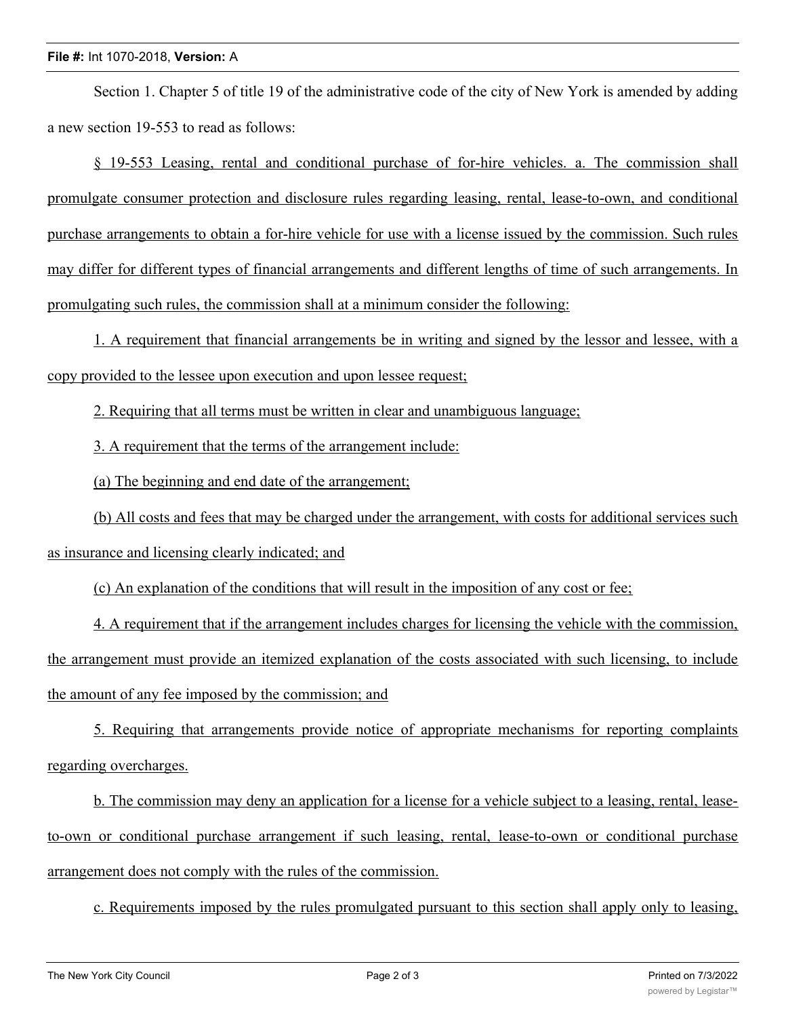## **File #:** Int 1070-2018, **Version:** A

Section 1. Chapter 5 of title 19 of the administrative code of the city of New York is amended by adding a new section 19-553 to read as follows:

§ 19-553 Leasing, rental and conditional purchase of for-hire vehicles. a. The commission shall promulgate consumer protection and disclosure rules regarding leasing, rental, lease-to-own, and conditional purchase arrangements to obtain a for-hire vehicle for use with a license issued by the commission. Such rules may differ for different types of financial arrangements and different lengths of time of such arrangements. In promulgating such rules, the commission shall at a minimum consider the following:

1. A requirement that financial arrangements be in writing and signed by the lessor and lessee, with a copy provided to the lessee upon execution and upon lessee request;

2. Requiring that all terms must be written in clear and unambiguous language;

3. A requirement that the terms of the arrangement include:

(a) The beginning and end date of the arrangement;

(b) All costs and fees that may be charged under the arrangement, with costs for additional services such

as insurance and licensing clearly indicated; and

(c) An explanation of the conditions that will result in the imposition of any cost or fee;

4. A requirement that if the arrangement includes charges for licensing the vehicle with the commission, the arrangement must provide an itemized explanation of the costs associated with such licensing, to include the amount of any fee imposed by the commission; and

5. Requiring that arrangements provide notice of appropriate mechanisms for reporting complaints regarding overcharges.

b. The commission may deny an application for a license for a vehicle subject to a leasing, rental, leaseto-own or conditional purchase arrangement if such leasing, rental, lease-to-own or conditional purchase arrangement does not comply with the rules of the commission.

c. Requirements imposed by the rules promulgated pursuant to this section shall apply only to leasing,